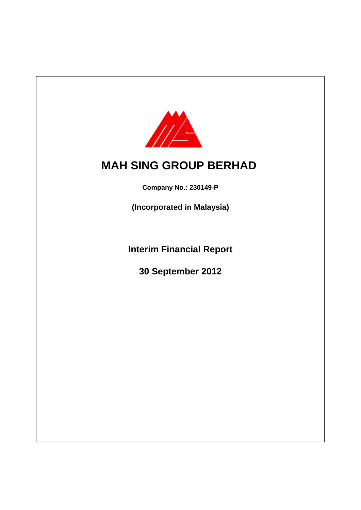

# **MAH SING GROUP BERHAD**

**Company No.: 230149-P**

**(Incorporated in Malaysia)**

**Interim Financial Report**

**30 September 2012**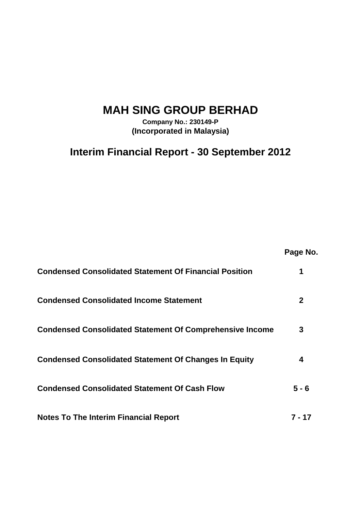# **MAH SING GROUP BERHAD**

**Company No.: 230149-P (Incorporated in Malaysia)**

**Interim Financial Report - 30 September 2012**

**Page No.**

| <b>Condensed Consolidated Statement Of Financial Position</b>   |       |
|-----------------------------------------------------------------|-------|
| <b>Condensed Consolidated Income Statement</b>                  |       |
| <b>Condensed Consolidated Statement Of Comprehensive Income</b> | 3     |
| <b>Condensed Consolidated Statement Of Changes In Equity</b>    |       |
| <b>Condensed Consolidated Statement Of Cash Flow</b>            | 5 - 6 |
| <b>Notes To The Interim Financial Report</b>                    | 17    |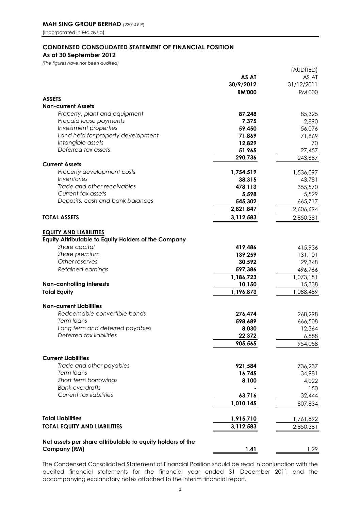### **CONDENSED CONSOLIDATED STATEMENT OF FINANCIAL POSITION As at 30 September 2012**

*(The figures have not been audited)*

| 27,457                                                                                                               |
|----------------------------------------------------------------------------------------------------------------------|
| 243,687                                                                                                              |
|                                                                                                                      |
| 1,536,097                                                                                                            |
| 43,781<br>355,570                                                                                                    |
| 5,529                                                                                                                |
| 665,717                                                                                                              |
| 2,606,694                                                                                                            |
| 2,850,381                                                                                                            |
| 415,936<br>131,101<br>29,348<br>496,766<br>1,073,151<br>15,338<br>1,088,489<br>268,298<br>666,508<br>12,364<br>6,888 |
| 954,058                                                                                                              |
|                                                                                                                      |
| 736,237                                                                                                              |
| 34,981<br>4,022                                                                                                      |
| 150                                                                                                                  |
| 32,444                                                                                                               |
| 807,834                                                                                                              |
|                                                                                                                      |
| 1,761,892                                                                                                            |
| 2,850,381                                                                                                            |
|                                                                                                                      |

The Condensed Consolidated Statement of Financial Position should be read in conjunction with the audited financial statements for the financial year ended 31 December 2011 and the accompanying explanatory notes attached to the interim financial report.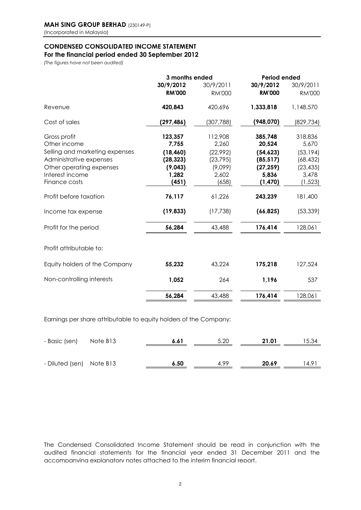### **CONDENSED CONSOLIDATED INCOME STATEMENT For the financial period ended 30 September 2012**

*(The figures have not been audited)*

|               | 3 months ended | <b>Period ended</b> |               |  |  |
|---------------|----------------|---------------------|---------------|--|--|
| 30/9/2012     | 30/9/2011      | 30/9/2012           | 30/9/2011     |  |  |
| <b>RM'000</b> | <b>RM'000</b>  | <b>RM'000</b>       | <b>RM'000</b> |  |  |
| 420,843       | 420,696        | 1,333,818           | 1,148,570     |  |  |
| (297,486)     | (307, 788)     | (948,070)           | (829,734)     |  |  |
| 123,357       | 112,908        | 385,748             | 318,836       |  |  |
| 7,755         | 2,260          | 20,524              | 5,670         |  |  |
| (18, 460)     | (22,992)       | (54, 623)           | (53, 194)     |  |  |
| (28, 323)     | (23, 795)      | (85, 517)           | (68, 432)     |  |  |
| (9,043)       | (9,099)        | (27, 259)           | (23, 435)     |  |  |
| 1,282         | 2,602          | 5,836               | 3,478         |  |  |
| (451)         | (658)          | (1, 470)            | (1, 523)      |  |  |
| 76,117        | 61,226         | 243,239             | 181,400       |  |  |
| (19, 833)     | (17, 738)      | (66, 825)           | (53, 339)     |  |  |
| 56,284        | 43,488         | 176,414             | 128,061       |  |  |
|               |                |                     |               |  |  |
| 55,232        | 43,224         | 175,218             | 127,524       |  |  |
| 1,052         | 264            | 1,196               | 537           |  |  |
| 56,284        | 43,488         | 176,414             | 128,061       |  |  |
|               |                |                     |               |  |  |

Earnings per share attributable to equity holders of the Company:

| - Basic (sen)            | Note B13 | 6.61 | 5.20 | 21.01 | 15.34 |
|--------------------------|----------|------|------|-------|-------|
|                          |          |      |      |       |       |
| - Diluted (sen) Note B13 |          | 6.50 | 4.99 | 20.69 | 14.91 |

The Condensed Consolidated Income Statement should be read in conjunction with the audited financial statements for the financial year ended 31 December 2011 and the accompanying explanatory notes attached to the interim financial report.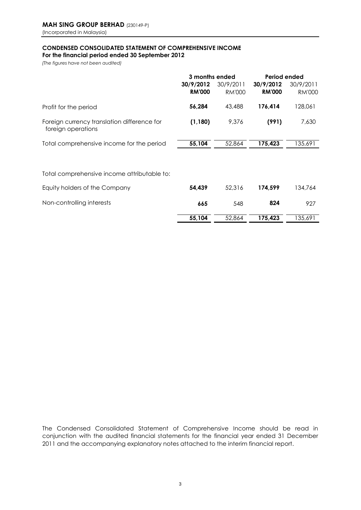## **CONDENSED CONSOLIDATED STATEMENT OF COMPREHENSIVE INCOME**

**For the financial period ended 30 September 2012**

*(The figures have not been audited)*

|                                                                   | 3 months ended             |                            | Period ended               |                            |  |
|-------------------------------------------------------------------|----------------------------|----------------------------|----------------------------|----------------------------|--|
|                                                                   | 30/9/2012<br><b>RM'000</b> | 30/9/2011<br><b>RM'000</b> | 30/9/2012<br><b>RM'000</b> | 30/9/2011<br><b>RM'000</b> |  |
| Profit for the period                                             | 56,284                     | 43,488                     | 176,414                    | 128,061                    |  |
| Foreign currency translation difference for<br>foreign operations | (1, 180)                   | 9,376                      | (991)                      | 7,630                      |  |
| Total comprehensive income for the period                         | 55,104                     | 52,864                     | 175,423                    | 135,691                    |  |
|                                                                   |                            |                            |                            |                            |  |
| Total comprehensive income attributable to:                       |                            |                            |                            |                            |  |
| Equity holders of the Company                                     | 54,439                     | 52,316                     | 174,599                    | 134,764                    |  |
| Non-controlling interests                                         | 665                        | 548                        | 824                        | 927                        |  |
|                                                                   | 55,104                     | 52,864                     | 175,423                    | 135,691                    |  |

The Condensed Consolidated Statement of Comprehensive Income should be read in conjunction with the audited financial statements for the financial year ended 31 December 2011 and the accompanying explanatory notes attached to the interim financial report.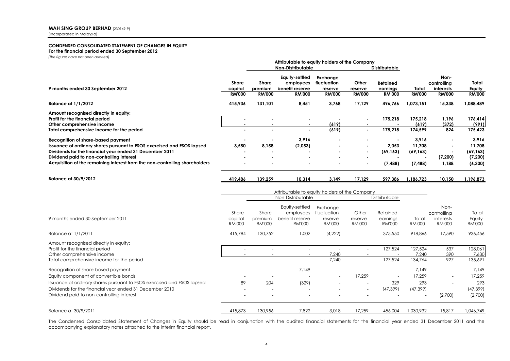### **CONDENSED CONSOLIDATED STATEMENT OF CHANGES IN EQUITY**

**For the financial period ended 30 September 2012**

*(The figures have not been audited)*

|                                                                                                                                                                                                                                                                                                     | Attributable to equity holders of the Company                                       |                                                   |                                                                 |                                                     |                                                                      |                                                      |                                                                         |                                                   |                                                    |
|-----------------------------------------------------------------------------------------------------------------------------------------------------------------------------------------------------------------------------------------------------------------------------------------------------|-------------------------------------------------------------------------------------|---------------------------------------------------|-----------------------------------------------------------------|-----------------------------------------------------|----------------------------------------------------------------------|------------------------------------------------------|-------------------------------------------------------------------------|---------------------------------------------------|----------------------------------------------------|
|                                                                                                                                                                                                                                                                                                     | Non-Distributable<br><b>Distributable</b>                                           |                                                   |                                                                 |                                                     |                                                                      |                                                      |                                                                         |                                                   |                                                    |
| 9 months ended 30 September 2012                                                                                                                                                                                                                                                                    | <b>Share</b><br>capital<br><b>RM'000</b>                                            | Share<br>premium<br><b>RM'000</b>                 | Equity-settled<br>employees<br>benefit reserve<br><b>RM'000</b> | Exchange<br>fluctuation<br>reserve<br><b>RM'000</b> | Other<br>reserve<br><b>RM'000</b>                                    | Retained<br>earninas<br><b>RM'000</b>                | Total<br><b>RM'000</b>                                                  | Non-<br>controlling<br>interests<br><b>RM'000</b> | Total<br>Equity<br><b>RM'000</b>                   |
| <b>Balance at 1/1/2012</b>                                                                                                                                                                                                                                                                          | 415,936                                                                             | 131,101                                           | 8,451                                                           | 3,768                                               | 17,129                                                               | 496,766                                              | 1,073,151                                                               | 15,338                                            | 1,088,489                                          |
| Amount recognised directly in equity:<br>Profit for the financial period<br>Other comprehensive income<br>Total comprehensive income for the period                                                                                                                                                 | $\blacksquare$                                                                      | $\mathbf{r}$                                      | $\sim$                                                          | $\blacksquare$<br>(619)<br>(619)                    | $\blacksquare$<br>$\blacksquare$<br>$\blacksquare$<br>$\blacksquare$ | 175.218<br>175,218<br>2.053<br>(69, 163)<br>(7, 488) | 175,218<br>(619)<br>174,599<br>3,916<br>11,708<br>(69, 163)<br>(7, 488) | 1,196<br>(372)<br>824<br>(7,200)<br>1,188         | 176,414<br>(991)<br>175,423                        |
| Recognition of share-based payment<br>Issuance of ordinary shares pursuant to ESOS exercised and ESOS lapsed<br>Dividends for the financial year ended 31 December 2011<br>Dividend paid to non-controlling interest<br>Acquisition of the remaining interest from the non-controlling shareholders | 3,550                                                                               | 8,158                                             | 3,916<br>(2.053)                                                |                                                     |                                                                      |                                                      |                                                                         |                                                   | 3,916<br>11.708<br>(69, 163)<br>(7,200)<br>(6,300) |
| <b>Balance at 30/9/2012</b>                                                                                                                                                                                                                                                                         | 419,486                                                                             | 139,259                                           | 10,314                                                          | 3,149                                               | 17,129                                                               | 597,386                                              | 1,186,723                                                               | 10,150                                            | 1,196,873                                          |
|                                                                                                                                                                                                                                                                                                     | Attributable to equity holders of the Company<br>Non-Distributable<br>Distributable |                                                   |                                                                 |                                                     |                                                                      |                                                      |                                                                         |                                                   |                                                    |
| 9 months ended 30 September 2011                                                                                                                                                                                                                                                                    | Share<br>capital<br><b>RM'000</b>                                                   | Share<br>premium<br><b>RM'000</b>                 | Equity-settled<br>employees<br>benefit reserve<br><b>RM'000</b> | Exchanae<br>fluctuation<br>reserve<br><b>RM'000</b> | Other<br>reserve<br><b>RM'000</b>                                    | Retained<br>earnings<br><b>RM'000</b>                | Total<br><b>RM'000</b>                                                  | Non-<br>controlling<br>interests<br><b>RM'000</b> | Total<br>Equity<br><b>RM'000</b>                   |
| Balance at 1/1/2011                                                                                                                                                                                                                                                                                 | 415,784                                                                             | 130,752                                           | 1,002                                                           | (4,222)                                             |                                                                      | 375,550                                              | 918,866                                                                 | 17,590                                            | 936,456                                            |
| Amount recognised directly in equity:<br>Profit for the financial period<br>Other comprehensive income<br>Total comprehensive income for the period                                                                                                                                                 |                                                                                     | $\sim$                                            | $\overline{a}$                                                  | 7,240<br>7.240                                      | $\overline{a}$                                                       | 127,524<br>127,524                                   | 127,524<br>7,240<br>134.764                                             | 537<br>390<br>927                                 | 128,061<br>7,630<br>135,691                        |
| Recognition of share-based payment<br>Equity component of convertible bonds<br>Issuance of ordinary shares pursuant to ESOS exercised and ESOS lapsed<br>Dividends for the financial year ended 31 December 2010<br>Dividend paid to non-controlling interest                                       | 89                                                                                  | $\overline{a}$<br>204<br>$\overline{\phantom{a}}$ | 7,149<br>(329)<br>÷.                                            |                                                     | 17,259                                                               | 329<br>(47, 399)                                     | 7,149<br>17,259<br>293<br>(47, 399)<br>$\sim$                           | $\sim$<br>(2,700)                                 | 7.149<br>17,259<br>293<br>(47, 399)<br>(2,700)     |
| Balance at 30/9/2011                                                                                                                                                                                                                                                                                | 415.873                                                                             | 130,956                                           | 7.822                                                           | 3.018                                               | 17.259                                                               | 456,004                                              | 1.030.932                                                               | 15,817                                            | 1,046,749                                          |

The Condensed Consolidated Statement of Changes in Equity should be read in conjunction with the audited financial statements for the financial year ended 31 December 2011 and the accompanying explanatory notes attached to the interim financial report.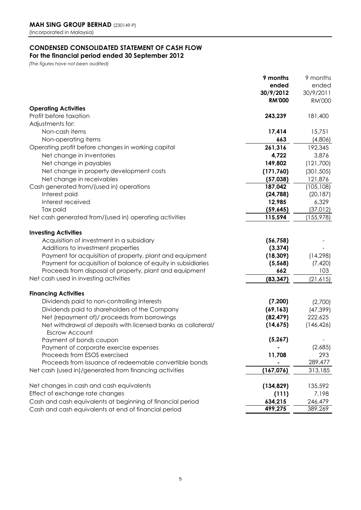## **CONDENSED CONSOLIDATED STATEMENT OF CASH FLOW**

**For the financial period ended 30 September 2012**

*(The figures have not been audited)*

|                                                                                 | 9 months      | 9 months             |
|---------------------------------------------------------------------------------|---------------|----------------------|
|                                                                                 | ended         | ended                |
|                                                                                 | 30/9/2012     | 30/9/2011            |
|                                                                                 | <b>RM'000</b> | <b>RM'000</b>        |
| <b>Operating Activities</b>                                                     |               |                      |
| Profit before taxation                                                          | 243,239       | 181,400              |
| Adjustments for:                                                                |               |                      |
| Non-cash items                                                                  | 17,414        | 15,751               |
| Non-operating items                                                             | 663           | (4,806)              |
| Operating profit before changes in working capital                              | 261,316       | 192,345              |
| Net change in inventories                                                       | 4,722         | 3,876                |
| Net change in payables                                                          | 149,802       | (121,700)            |
| Net change in property development costs                                        | (171, 760)    | (301, 505)           |
| Net change in receivables                                                       | (57,038)      | 121,876              |
| Cash generated from/(used in) operations                                        | 187,042       | (105, 108)           |
| Interest paid                                                                   | (24, 788)     | (20, 187)            |
| Interest received                                                               | 12,985        | 6,329                |
| Tax paid                                                                        | (59, 645)     | (37, 012)            |
| Net cash generated from/(used in) operating activities                          | 115,594       | (155, 978)           |
|                                                                                 |               |                      |
| <b>Investing Activities</b>                                                     |               |                      |
| Acquisition of investment in a subsidiary                                       | (56, 758)     |                      |
| Additions to investment properties                                              | (3, 374)      |                      |
| Payment for acquisition of property, plant and equipment                        | (18, 309)     | (14, 298)            |
| Payment for acquisition of balance of equity in subsidiaries                    | (5, 568)      | (7, 420)             |
| Proceeds from disposal of property, plant and equipment                         | 662           | 103                  |
| Net cash used in investing activities                                           | (83, 347)     | (21, 615)            |
| <b>Financing Activities</b>                                                     |               |                      |
| Dividends paid to non-controlling interests                                     | (7,200)       | (2,700)              |
| Dividends paid to shareholders of the Company                                   | (69, 163)     |                      |
| Net (repayment of)/ proceeds from borrowings                                    | (82, 479)     | (47, 399)<br>222,625 |
|                                                                                 | (14, 675)     | (146, 426)           |
| Net withdrawal of deposits with licensed banks as collateral/<br>Escrow Account |               |                      |
| Payment of bonds coupon                                                         | (5, 267)      |                      |
| Payment of corporate exercise expenses                                          |               | (2,685)              |
| Proceeds from ESOS exercised                                                    | 11,708        | 293                  |
| Proceeds from issuance of redeemable convertible bonds                          |               | 289,477              |
| Net cash (used in)/generated from financing activities                          | (167, 076)    | 313,185              |
|                                                                                 |               |                      |
| Net changes in cash and cash equivalents                                        | (134, 829)    | 135,592              |
| Effect of exchange rate changes                                                 | (111)         | 7,198                |
| Cash and cash equivalents at beginning of financial period                      | 634,215       | 246,479              |
| Cash and cash equivalents at end of financial period                            | 499,275       | 389,269              |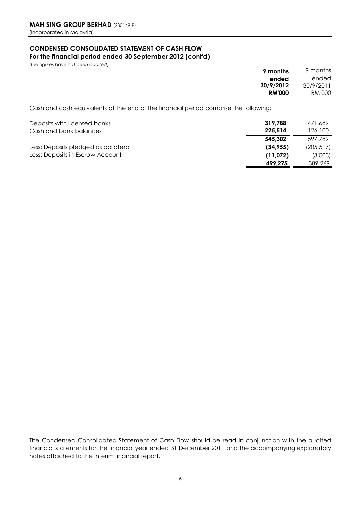### **CONDENSED CONSOLIDATED STATEMENT OF CASH FLOW For the financial period ended 30 September 2012 (cont'd)**

*(The figures have not been audited)* 

| . . | . .           |  |  |  |                             |   |  |  |           | 9 months      | 9 months      |
|-----|---------------|--|--|--|-----------------------------|---|--|--|-----------|---------------|---------------|
|     |               |  |  |  |                             |   |  |  |           | ended         | ended         |
|     |               |  |  |  |                             |   |  |  |           | 30/9/2012     | 30/9/2011     |
|     |               |  |  |  |                             |   |  |  |           | <b>RM'000</b> | <b>RM'000</b> |
|     |               |  |  |  |                             |   |  |  |           |               |               |
|     | $\sim$ $\sim$ |  |  |  | $\sim$ $\sim$ $\sim$ $\sim$ | . |  |  | $\cdot$ . |               |               |

Cash and cash equivalents at the end of the financial period comprise the following:

| Deposits with licensed banks<br>Cash and bank balances | 319,788<br>225.514 | 471,689<br>126,100 |
|--------------------------------------------------------|--------------------|--------------------|
|                                                        | 545.302            | 597.789            |
| Less: Deposits pledged as collateral                   | (34.955)           | (205, 517)         |
| Less: Deposits in Escrow Account                       | (11,072)           | (3,003)            |
|                                                        | 499.275            | 389,269            |

The Condensed Consolidated Statement of Cash Flow should be read in conjunction with the audited financial statements for the financial year ended 31 December 2011 and the accompanying explanatory notes attached to the interim financial report.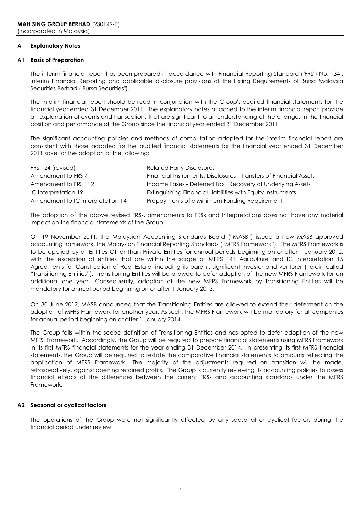### **A Explanatory Notes**

### **A1 Basis of Preparation**

The interim financial report has been prepared in accordance with Financial Reporting Standard ("FRS") No. 134 : Interim Financial Reporting and applicable disclosure provisions of the Listing Requirements of Bursa Malaysia Securities Berhad ("Bursa Securities").

The interim financial report should be read in conjunction with the Group's audited financial statements for the financial year ended 31 December 2011. The explanatory notes attached to the interim financial report provide an explanation of events and transactions that are significant to an understanding of the changes in the financial position and performance of the Group since the financial year ended 31 December 2011.

The significant accounting policies and methods of computation adopted for the interim financial report are consistent with those adopted for the audited financial statements for the financial year ended 31 December 2011 save for the adoption of the following:

| FRS 124 (revised)                 | <b>Related Party Disclosures</b>                                   |
|-----------------------------------|--------------------------------------------------------------------|
| Amendment to FRS 7                | Financial Instruments: Disclosures - Transfers of Financial Assets |
| Amendment to FRS 112              | Income Taxes - Deferred Tax: Recovery of Underlying Assets         |
| IC Interpretation 19              | Extinguishing Financial Liabilities with Equity Instruments        |
| Amendment to IC Interpretation 14 | Prepayments of a Minimum Funding Requirement                       |

The adoption of the above revised FRSs, amendments to FRSs and Interpretations does not have any material impact on the financial statements of the Group.

On 19 November 2011, the Malaysian Accounting Standards Board ("MASB") issued a new MASB approved accounting framework, the Malaysian Financial Reporting Standards ("MFRS Framework"). The MFRS Framework is to be applied by all Entities Other Than Private Entities for annual periods beginning on or after 1 January 2012, with the exception of entities that are within the scope of MFRS 141 Agriculture and IC Interpretation 15 Agreements for Construction of Real Estate, including its parent, significant investor and venturer (herein called "Transitioning Entities"). Transitioning Entities will be allowed to defer adoption of the new MFRS Framework for an additional one year. Consequently, adoption of the new MFRS Framework by Transitioning Entities will be mandatory for annual period beginning on or after 1 January 2013.

On 30 June 2012, MASB announced that the Transitioning Entities are allowed to extend their deferment on the adoption of MFRS Framework for another year. As such, the MFRS Framework will be mandotory for all companies for annual period beginning on or after 1 January 2014.

The Group falls within the scope definition of Transitioning Entities and has opted to defer adoption of the new MFRS Framework. Accordingly, the Group will be required to prepare financial statements using MFRS Framework in its first MFRS financial statements for the year ending 31 December 2014. In presenting its first MFRS financial statements, the Group will be required to restate the comparative financial statements to amounts reflecting the application of MFRS Framework. The majority of the adjustments required on transition will be made, retrospectively, against opening retained profits. The Group is currently reviewing its accounting policies to assess financial effects of the differences between the current FRSs and accounting standards under the MFRS Framework.

### **A2 Seasonal or cyclical factors**

The operations of the Group were not significantly affected by any seasonal or cyclical factors during the financial period under review.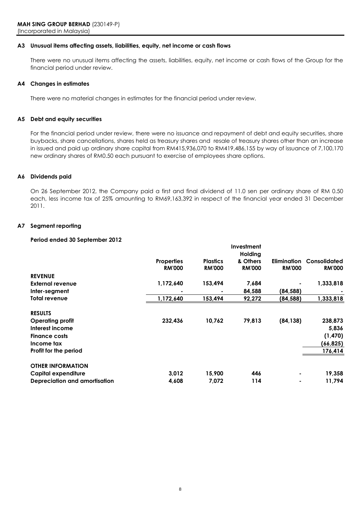### **A3 Unusual items affecting assets, liabilities, equity, net income or cash flows**

There were no unusual items affecting the assets, liabilities, equity, net income or cash flows of the Group for the financial period under review.

### **A4 Changes in estimates**

There were no material changes in estimates for the financial period under review.

### **A5 Debt and equity securities**

For the financial period under review, there were no issuance and repayment of debt and equity securities, share buybacks, share cancellations, shares held as treasury shares and resale of treasury shares other than an increase in issued and paid up ordinary share capital from RM415,936,070 to RM419,486,155 by way of issuance of 7,100,170 new ordinary shares of RM0.50 each pursuant to exercise of employees share options.

### **A6 Dividends paid**

On 26 September 2012, the Company paid a first and final dividend of 11.0 sen per ordinary share of RM 0.50 each, less income tax of 25% amounting to RM69,163,392 in respect of the financial year ended 31 December 2011.

### **A7 Segment reporting**

### **Period ended 30 September 2012**

|                               |                                    |                 | Investment          |                    |                     |
|-------------------------------|------------------------------------|-----------------|---------------------|--------------------|---------------------|
|                               |                                    | <b>Plastics</b> | Holding<br>& Others | <b>Elimination</b> | <b>Consolidated</b> |
|                               | <b>Properties</b><br><b>RM'000</b> | <b>RM'000</b>   | <b>RM'000</b>       | <b>RM'000</b>      | <b>RM'000</b>       |
| <b>REVENUE</b>                |                                    |                 |                     |                    |                     |
| External revenue              | 1,172,640                          | 153,494         | 7,684               |                    | 1,333,818           |
| Inter-segment                 |                                    |                 | 84,588              | (84,588)           |                     |
| Total revenue                 | 1,172,640                          | 153,494         | 92,272              | (84,588)           | 1,333,818           |
| <b>RESULTS</b>                |                                    |                 |                     |                    |                     |
| <b>Operating profit</b>       | 232,436                            | 10,762          | 79,813              | (84, 138)          | 238,873             |
| Interest income               |                                    |                 |                     |                    | 5,836               |
| <b>Finance costs</b>          |                                    |                 |                     |                    | (1, 470)            |
| Income tax                    |                                    |                 |                     |                    | (66, 825)           |
| Profit for the period         |                                    |                 |                     |                    | 176,414             |
| <b>OTHER INFORMATION</b>      |                                    |                 |                     |                    |                     |
| Capital expenditure           | 3,012                              | 15,900          | 446                 | ۰                  | 19,358              |
| Depreciation and amortisation | 4,608                              | 7,072           | 114                 | $\blacksquare$     | 11,794              |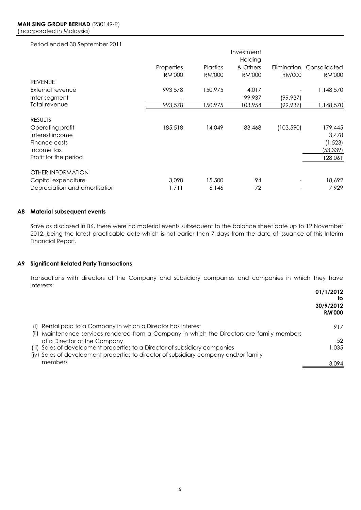### Period ended 30 September 2011

|                               |               |                 | Investment    |               |               |
|-------------------------------|---------------|-----------------|---------------|---------------|---------------|
|                               |               |                 | Holding       |               |               |
|                               | Properties    | <b>Plastics</b> | & Others      | Elimination   | Consolidated  |
|                               | <b>RM'000</b> | <b>RM'000</b>   | <b>RM'000</b> | <b>RM'000</b> | <b>RM'000</b> |
| <b>REVENUE</b>                |               |                 |               |               |               |
| External revenue              | 993,578       | 150,975         | 4,017         |               | 1,148,570     |
| Inter-segment                 |               |                 | 99,937        | (99,937)      |               |
| Total revenue                 | 993,578       | 150,975         | 103,954       | (99,937)      | 1,148,570     |
|                               |               |                 |               |               |               |
| <b>RESULTS</b>                |               |                 |               |               |               |
| Operating profit              | 185,518       | 14,049          | 83,468        | (103, 590)    | 179,445       |
| Interest income               |               |                 |               |               | 3.478         |
| Finance costs                 |               |                 |               |               | (1, 523)      |
| Income tax                    |               |                 |               |               | (53, 339)     |
| Profit for the period         |               |                 |               |               | 128,061       |
|                               |               |                 |               |               |               |
| <b>OTHER INFORMATION</b>      |               |                 |               |               |               |
| Capital expenditure           | 3,098         | 15,500          | 94            |               | 18,692        |
| Depreciation and amortisation | 1,711         | 6,146           | 72            |               | 7.929         |

### **A8 Material subsequent events**

Save as disclosed in B6, there were no material events subsequent to the balance sheet date up to 12 November 2012, being the latest practicable date which is not earlier than 7 days from the date of issuance of this Interim Financial Report.

### **A9 Significant Related Party Transactions**

**01/1/2012** Transactions with directors of the Company and subsidiary companies and companies in which they have interests:

|                                                                                                                                                                     | U1/IIZU1Z<br>to<br>30/9/2012<br><b>RM'000</b> |
|---------------------------------------------------------------------------------------------------------------------------------------------------------------------|-----------------------------------------------|
| (i) Rental paid to a Company in which a Director has interest<br>(ii) Maintenance services rendered from a Company in which the Directors are family members        | 917                                           |
| of a Director of the Company                                                                                                                                        | 52                                            |
| (iii) Sales of development properties to a Director of subsidiary companies<br>(iv) Sales of development properties to director of subsidiary company and/or family | 1.035                                         |
| members                                                                                                                                                             | 3.094                                         |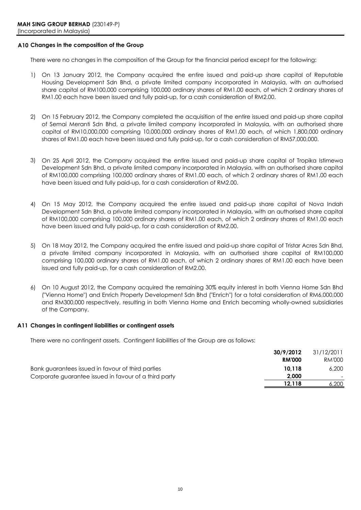### **A10 Changes in the composition of the Group**

There were no changes in the composition of the Group for the financial period except for the following:

- 1) On 13 January 2012, the Company acquired the entire issued and paid-up share capital of Reputable Housing Development Sdn Bhd, a private limited company incorporated in Malaysia, with an authorised share capital of RM100,000 comprising 100,000 ordinary shares of RM1.00 each, of which 2 ordinary shares of RM1.00 each have been issued and fully paid-up, for a cash consideration of RM2.00.
- 2) On 15 February 2012, the Company completed the acquisition of the entire issued and paid-up share capital of Semai Meranti Sdn Bhd, a private limited company incorporated in Malaysia, with an authorised share capital of RM10,000,000 comprising 10,000,000 ordinary shares of RM1.00 each, of which 1,800,000 ordinary shares of RM1.00 each have been issued and fully paid-up, for a cash consideration of RM57,000,000.
- 3) On 25 April 2012, the Company acquired the entire issued and paid-up share capital of Tropika Istimewa Development Sdn Bhd, a private limited company incorporated in Malaysia, with an authorised share capital of RM100,000 comprising 100,000 ordinary shares of RM1.00 each, of which 2 ordinary shares of RM1.00 each have been issued and fully paid-up, for a cash consideration of RM2.00.
- 4) On 15 May 2012, the Company acquired the entire issued and paid-up share capital of Nova Indah Development Sdn Bhd, a private limited company incorporated in Malaysia, with an authorised share capital of RM100,000 comprising 100,000 ordinary shares of RM1.00 each, of which 2 ordinary shares of RM1.00 each have been issued and fully paid-up, for a cash consideration of RM2.00.
- 5) On 18 May 2012, the Company acquired the entire issued and paid-up share capital of Tristar Acres Sdn Bhd, a private limited company incorporated in Malaysia, with an authorised share capital of RM100,000 comprising 100,000 ordinary shares of RM1.00 each, of which 2 ordinary shares of RM1.00 each have been issued and fully paid-up, for a cash consideration of RM2.00.
- 6) On 10 August 2012, the Company acquired the remaining 30% equity interest in both Vienna Home Sdn Bhd ("Vienna Home") and Enrich Property Development Sdn Bhd ("Enrich") for a total consideration of RM6,000,000 and RM300,000 respectively, resulting in both Vienna Home and Enrich becoming wholly-owned subsidiaries of the Company.

### **A11 Changes in contingent liabilities or contingent assets**

There were no contingent assets. Contingent liabilities of the Group are as follows:

|                                                       | 30/9/2012     | 31/12/2011 |
|-------------------------------------------------------|---------------|------------|
|                                                       | <b>RM'000</b> | RM'000     |
| Bank guarantees issued in favour of third parties     | 10.118        | 6,200      |
| Corporate guarantee issued in favour of a third party | 2.000         | $-$        |
|                                                       | 12.118        | 6.200      |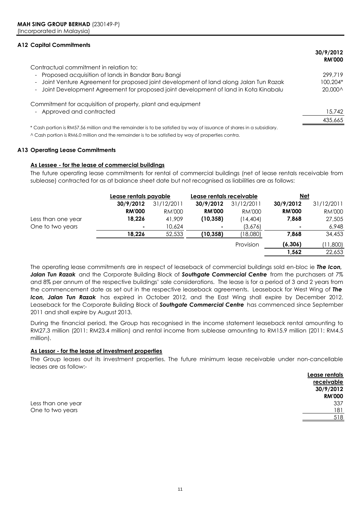### **A12 Capital Commitments**

|                                                                                                                      | 30/9/2012<br><b>RM'000</b> |
|----------------------------------------------------------------------------------------------------------------------|----------------------------|
| Contractual commitment in relation to:                                                                               |                            |
| - Proposed acquisition of lands in Bandar Baru Bangi                                                                 | 299.719                    |
| Joint Venture Agreement for proposed joint development of land along Jalan Tun Razak<br>$\overline{\phantom{a}}$     | 100,204*                   |
| Joint Development Agreement for proposed joint development of land in Kota Kinabalu<br>$\sim$                        | 20,000^                    |
| Commitment for acquisition of property, plant and equipment                                                          |                            |
| - Approved and contracted                                                                                            | 15,742                     |
|                                                                                                                      | 435,665                    |
| * Cash portion is RM57.56 million and the remainder is to be satisfied by way of issuance of shares in a subsidiary. |                            |
| ^ Cash portion is RM6.0 million and the remainder is to be satisfied by way of properties contra.                    |                            |

**A13 Operating Lease Commitments**

### **As Lessee - for the lease of commercial buildings**

The future operating lease commitments for rental of commercial buildings (net of lease rentals receivable from sublease) contracted for as at balance sheet date but not recognised as liabilities are as follows:

|                    | Lease rentals payable |               | Lease rentals receivable |            | <u>Net</u>    |               |
|--------------------|-----------------------|---------------|--------------------------|------------|---------------|---------------|
|                    | 30/9/2012             | 31/12/2011    | 30/9/2012                | 31/12/2011 | 30/9/2012     | 31/12/2011    |
|                    | <b>RM'000</b>         | <b>RM'000</b> | <b>RM'000</b>            | RM'000     | <b>RM'000</b> | <b>RM'000</b> |
| Less than one year | 18,226                | 41,909        | (10, 358)                | (14,404)   | 7,868         | 27,505        |
| One to two years   |                       | 10,624        |                          | (3,676)    | ۰.            | 6,948         |
|                    | 18,226                | 52,533        | (10, 358)                | (18,080)   | 7,868         | 34,453        |
|                    |                       |               |                          | Provision  | (6, 306)      | (11,800)      |
|                    |                       |               |                          |            | 1,562         | 22,653        |

The operating lease commitments are in respect of leaseback of commercial buildings sold en-bloc ie *The Icon, Jalan Tun Razak* and the Corporate Building Block of *Southgate Commercial Centre* from the purchasers at 7% and 8% per annum of the respective buildings' sale considerations. The lease is for a period of 3 and 2 years from the commencement date as set out in the respective leaseback agreements. Leaseback for West Wing of *The Icon, Jalan Tun Razak* has expired in October 2012, and the East Wing shall expire by December 2012. Leaseback for the Corporate Building Block of *Southgate Commercial Centre* has commenced since September 2011 and shall expire by August 2013.

During the financial period, the Group has recognised in the income statement leaseback rental amounting to RM27.3 million (2011: RM23.4 million) and rental income from sublease amounting to RM15.9 million (2011: RM4.5 million).

### **As Lessor - for the lease of investment properties**

The Group leases out its investment properties. The future minimum lease receivable under non-cancellable leases are as follow:-

|                    | ------ ------- |
|--------------------|----------------|
|                    | receivable     |
|                    | 30/9/2012      |
|                    | <b>RM'000</b>  |
| Less than one year | 337            |
| One to two years   | 181            |
|                    | 518            |

**Lease rentals**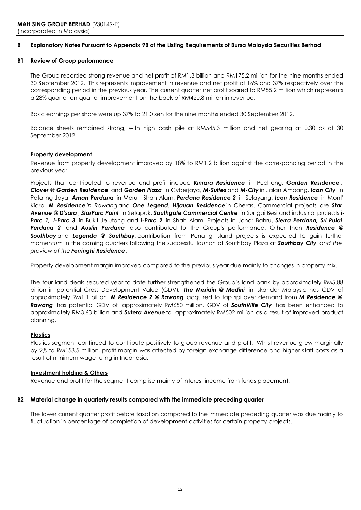#### **B Explanatory Notes Pursuant to Appendix 9B of the Listing Requirements of Bursa Malaysia Securities Berhad**

### **B1 Review of Group performance**

The Group recorded strong revenue and net profit of RM1.3 billion and RM175.2 million for the nine months ended 30 September 2012. This represents improvement in revenue and net profit of 16% and 37% respectively over the corresponding period in the previous year. The current quarter net profit soared to RM55.2 million which represents a 28% quarter-on-quarter improvement on the back of RM420.8 million in revenue.

Basic earnings per share were up 37% to 21.0 sen for the nine months ended 30 September 2012.

Balance sheets remained strong, with high cash pile at RM545.3 million and net gearing at 0.30 as at 30 September 2012.

### **Property development**

Revenue from property development improved by 18% to RM1.2 billion against the corresponding period in the previous year.

Projects that contributed to revenue and profit include *Kinrara Residence* in Puchong, *Garden Residence* , *Clover @ Garden Residence* and *Garden Plaza* in Cyberjaya, *M-Suites* and *M-City* in Jalan Ampang, *Icon City* in Petaling Jaya, *Aman Perdana* in Meru - Shah Alam, *Perdana Residence 2* in Selayang, *Icon Residence* in Mont' Kiara, *M Residence in Rawang* and *One Legend, Hijauan Residence* in Cheras. Commercial projects are *Star Avenue @ D'sara* , *StarParc Point* in Setapak, *Southgate Commercial Centre* in Sungai Besi and industrial projects *i-Parc 1, i-Parc 3* in Bukit Jelutong and *i-Parc 2* in Shah Alam. Projects in Johor Bahru, *Sierra Perdana, Sri Pulai Perdana 2* and *Austin Perdana* also contributed to the Group's performance. Other than *Residence @ Southbay* and *Legenda @ Southbay,* contribution from Penang Island projects is expected to gain further momentum in the coming quarters following the successful launch of Southbay Plaza at *Southbay City and the preview of the Ferringhi Residence .*

Property development margin improved compared to the previous year due mainly to changes in property mix.

The four land deals secured year-to-date further strengthened the Group's land bank by approximately RM5.88 billion in potential Gross Development Value (GDV)*. The Meridin @ Medini* in Iskandar Malaysia has GDV of approximately RM1.1 billion. *M Residence 2 @ Rawang* acquired to tap spillover demand from *M Residence @ Rawang* has potential GDV of approximately RM650 million. GDV of *SouthVille City* has been enhanced to approximately RM3.63 billion and *Sutera Avenue* to approximately RM502 million as a result of improved product planning.

### **Plastics**

Plastics segment continued to contribute positively to group revenue and profit. Whilst revenue grew marginally by 2% to RM153.5 million, profit margin was affected by foreign exchange difference and higher staff costs as a result of minimum wage ruling in Indonesia.

### **Investment holding & Others**

Revenue and profit for the segment comprise mainly of interest income from funds placement.

### **B2 Material change in quarterly results compared with the immediate preceding quarter**

The lower current quarter profit before taxation compared to the immediate preceding quarter was due mainly to fluctuation in percentage of completion of development activities for certain property projects.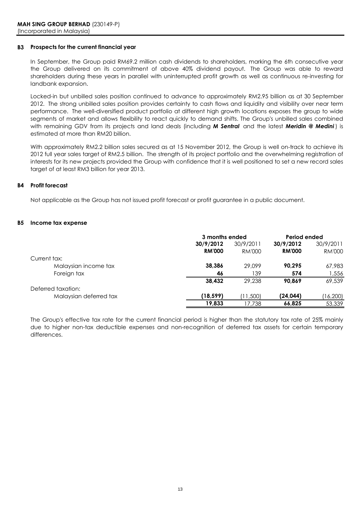### **B3 Prospects for the current financial year**

In September, the Group paid RM69.2 million cash dividends to shareholders, marking the 6th consecutive year the Group delivered on its commitment of above 40% dividend payout. The Group was able to reward shareholders during these years in parallel with uninterrupted profit growth as well as continuous re-investing for landbank expansion.

Locked-in but unbilled sales position continued to advance to approximately RM2.95 billion as at 30 September 2012. The strong unbilled sales position provides certainty to cash flows and liquidity and visibility over near term performance. The well-diversified product portfolio at different high growth locations exposes the group to wide segments of market and allows flexibility to react quickly to demand shifts. The Group's unbilled sales combined with remaining GDV from its projects and land deals (including *M Sentral* and the latest *Meridin @ Medini* ) is estimated at more than RM20 billion.

With approximately RM2.2 billion sales secured as at 15 November 2012, the Group is well on-track to achieve its 2012 full year sales target of RM2.5 billion. The strength of its project portfolio and the overwhelming registration of interests for its new projects provided the Group with confidence that it is well positioned to set a new record sales target of at least RM3 billion for year 2013.

### **B4 Profit forecast**

Not applicable as the Group has not issued profit forecast or profit guarantee in a public document.

### **B5 Income tax expense**

|                        | 3 months ended |           | Period ended  |           |
|------------------------|----------------|-----------|---------------|-----------|
|                        | 30/9/2012      | 30/9/2011 | 30/9/2012     | 30/9/2011 |
|                        | <b>RM'000</b>  | RM'000    | <b>RM'000</b> | RM'000    |
| Current tax:           |                |           |               |           |
| Malaysian income tax   | 38,386         | 29.099    | 90.295        | 67,983    |
| Foreign tax            | 46             | 139       | 574           | 1,556     |
|                        | 38.432         | 29.238    | 90.869        | 69,539    |
| Deferred taxation:     |                |           |               |           |
| Malaysian deferred tax | (18, 599)      | (11,500)  | (24, 044)     | (16,200)  |
|                        | 19.833         | 17.738    | 66.825        | 53,339    |

The Group's effective tax rate for the current financial period is higher than the statutory tax rate of 25% mainly due to higher non-tax deductible expenses and non-recognition of deferred tax assets for certain temporary differences.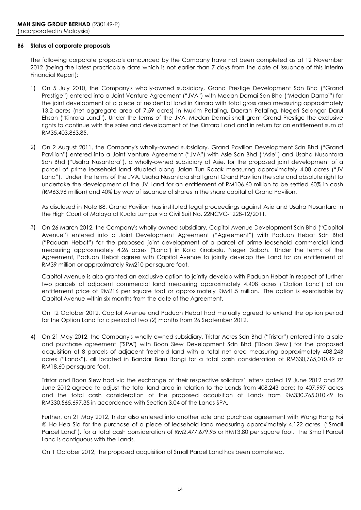### **B6 Status of corporate proposals**

The following corporate proposals announced by the Company have not been completed as at 12 November 2012 (being the latest practicable date which is not earlier than 7 days from the date of issuance of this Interim Financial Report):

- 1) On 5 July 2010, the Company's wholly-owned subsidiary, Grand Prestige Development Sdn Bhd ("Grand Prestige") entered into a Joint Venture Agreement ("JVA") with Medan Damai Sdn Bhd ("Medan Damai") for the joint development of a piece of residential land in Kinrara with total gross area measuring approximately 13.2 acres (net aggregate area of 7.59 acres) in Mukim Petaling, Daerah Petaling, Negeri Selangor Darul Ehsan ("Kinrara Land"). Under the terms of the JVA, Medan Damai shall grant Grand Prestige the exclusive rights to continue with the sales and development of the Kinrara Land and in return for an entitlement sum of RM35,403,863.85.
- 2) On 2 August 2011, the Company's wholly-owned subsidiary, Grand Pavilion Development Sdn Bhd ("Grand Pavilion") entered into a Joint Venture Agreement ("JVA") with Asie Sdn Bhd ("Asie") and Usaha Nusantara Sdn Bhd ("Usaha Nusantara"), a wholly-owned subsidiary of Asie, for the proposed joint development of a parcel of prime leasehold land situated along Jalan Tun Razak measuring approximately 4.08 acres ("JV Land"). Under the terms of the JVA, Usaha Nusantara shall grant Grand Pavilion the sole and absolute right to undertake the development of the JV Land for an entitlement of RM106.60 million to be settled 60% in cash (RM63.96 million) and 40% by way of issuance of shares in the share capital of Grand Pavilion.

As disclosed in Note B8, Grand Pavilion has instituted legal proceedings against Asie and Usaha Nusantara in the High Court of Malaya at Kuala Lumpur via Civil Suit No. 22NCVC-1228-12/2011.

3) On 26 March 2012, the Company's wholly-owned subsidiary, Capitol Avenue Development Sdn Bhd ("Capitol Avenue") entered into a Joint Development Agreement ("Agreement") with Paduan Hebat Sdn Bhd ("Paduan Hebat") for the proposed joint development of a parcel of prime leasehold commercial land measuring approximately 4.26 acres ("Land") in Kota Kinabalu, Negeri Sabah. Under the terms of the Agreement, Paduan Hebat agrees with Capitol Avenue to jointly develop the Land for an entitlement of RM39 million or approximately RM210 per square foot.

Capitol Avenue is also granted an exclusive option to jointly develop with Paduan Hebat in respect of further two parcels of adjacent commercial land measuring approximately 4.408 acres ("Option Land") at an entitlement price of RM216 per square foot or approximately RM41.5 million. The option is exercisable by Capitol Avenue within six months from the date of the Agreement.

On 12 October 2012, Capitol Avenue and Paduan Hebat had mutually agreed to extend the option period for the Option Land for a period of two (2) months from 26 September 2012.

4) On 21 May 2012, the Company's wholly-owned subsidiary, Tristar Acres Sdn Bhd ("Tristar") entered into a sale and purchase agreement ("SPA") with Boon Siew Development Sdn Bhd ("Boon Siew") for the proposed acquisition of 8 parcels of adjacent freehold land with a total net area measuring approximately 408.243 acres ("Lands"), all located in Bandar Baru Bangi for a total cash consideration of RM330,765,010.49 or RM18.60 per square foot.

Tristar and Boon Siew had via the exchange of their respective solicitors' letters dated 19 June 2012 and 22 June 2012 agreed to adjust the total land area in relation to the Lands from 408.243 acres to 407.997 acres and the total cash consideration of the proposed acquisition of Lands from RM330,765,010.49 to RM330,565,697.35 in accordance with Section 3.04 of the Lands SPA.

Further, on 21 May 2012, Tristar also entered into another sale and purchase agreement with Wong Hong Foi @ Ho Hea Sia for the purchase of a piece of leasehold land measuring approximately 4.122 acres ("Small Parcel Land"), for a total cash consideration of RM2,477,679.95 or RM13.80 per square foot. The Small Parcel Land is contiguous with the Lands.

On 1 October 2012, the proposed acquisition of Small Parcel Land has been completed.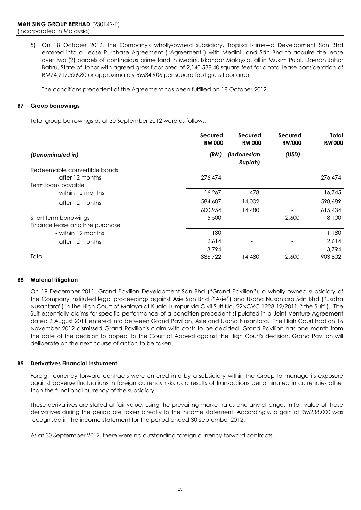5) On 18 October 2012, the Company's wholly-owned subsidiary, Tropika Istimewa Development Sdn Bhd entered into a Lease Purchase Agreement ("Agreement") with Medini Land Sdn Bhd to acquire the lease over two (2) parcels of contingious prime land in Medini, Iskandar Malaysia, all in Mukim Pulai, Daerah Johor Bahru, State of Johor with agreed gross floor area of 2,140,538.40 square feet for a total lease consideration of RM74,717,596.80 or approximately RM34.906 per square foot gross floor area.

The conditions precedent of the Agreement has been fulfilled on 18 October 2012.

### **B7 Group borrowings**

Total group borrowings as at 30 September 2012 were as follows:

|                                 | <b>Secured</b><br><b>RM'000</b> | <b>Secured</b><br><b>RM'000</b> | <b>Secured</b><br><b>RM'000</b> | Total<br><b>RM'000</b> |
|---------------------------------|---------------------------------|---------------------------------|---------------------------------|------------------------|
| (Denominated in)                | (RM)                            | (Indonesian<br><b>Rupiah)</b>   | (USD)                           |                        |
| Redeemable convertible bonds    |                                 |                                 |                                 |                        |
| - after 12 months               | 276,474                         |                                 | $\qquad \qquad \blacksquare$    | 276,474                |
| Term loans payable              |                                 |                                 |                                 |                        |
| - within 12 months              | 16,267                          | 478                             |                                 | 16,745                 |
| - after 12 months               | 584,687                         | 14,002                          |                                 | 598,689                |
|                                 | 600,954                         | 14,480                          |                                 | 615,434                |
| Short term borrowings           | 5,500                           |                                 | 2,600                           | 8,100                  |
| Finance lease and hire purchase |                                 |                                 |                                 |                        |
| - within 12 months              | 1,180                           | $\qquad \qquad$                 | $\qquad \qquad$                 | 1,180                  |
| - after 12 months               | 2,614                           |                                 |                                 | 2,614                  |
|                                 | 3,794                           | $\qquad \qquad$                 |                                 | 3,794                  |
| Total                           | 886,722                         | 14,480                          | 2,600                           | 903,802                |

### **B8 Material litigation**

On 19 December 2011, Grand Pavilion Development Sdn Bhd ("Grand Pavilion"), a wholly-owned subsidiary of the Company instituted legal proceedings against Asie Sdn Bhd ("Asie") and Usaha Nusantara Sdn Bhd ("Usaha Nusantara") in the High Court of Malaya at Kuala Lumpur via Civil Suit No. 22NCVC-1228-12/2011 ("the Suit"). The Suit essentially claims for specific performance of a condition precedent stipulated in a Joint Venture Agreement dated 2 August 2011 entered into between Grand Pavilion, Asie and Usaha Nusantara. The High Court had on 16 November 2012 dismissed Grand Pavilion's claim with costs to be decided. Grand Pavilion has one month from the date of the decision to appeal to the Court of Appeal against the High Court's decision. Grand Pavilion will deliberate on the next course of action to be taken.

#### **B9 Derivatives Financial Instrument**

Foreign currency forward contracts were entered into by a subsidiary within the Group to manage its exposure against adverse fluctuations in foreign currency risks as a results of transactions denominated in currencies other than the functional currency of the subsidiary.

These derivatives are stated at fair value, using the prevailing market rates and any changes in fair value of these derivatives during the period are taken directly to the income statement. Accordingly, a gain of RM238,000 was recognised in the income statement for the period ended 30 September 2012.

As at 30 Septermber 2012, there were no outstanding foreign currency forward contracts.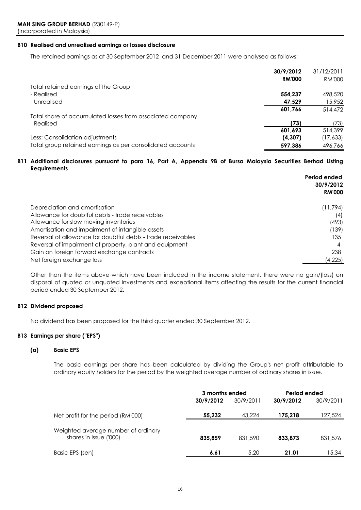### **B10 Realised and unrealised earnings or losses disclosure**

The retained earnings as at 30 September 2012 and 31 December 2011 were analysed as follows:

|                                                            | 30/9/2012     | 31/12/2011 |
|------------------------------------------------------------|---------------|------------|
|                                                            | <b>RM'000</b> | RM'000     |
| Total retained earnings of the Group                       |               |            |
| - Realised                                                 | 554.237       | 498,520    |
| - Unrealised                                               | 47,529        | 15,952     |
|                                                            | 601,766       | 514,472    |
| Total share of accumulated losses from associated company  |               |            |
| - Realised                                                 | (73)          | (73)       |
|                                                            | 601,693       | 514,399    |
| Less: Consolidation adjustments                            | (4,307)       | (17,633)   |
| Total group retained earnings as per consolidated accounts | 597.386       | 496.766    |

### B11 Additional disclosures pursuant to para 16, Part A, Appendix 9B of Bursa Malaysia Securities Berhad Listing **Requirements**

|                                                              | Period ended<br>30/9/2012<br><b>RM'000</b> |
|--------------------------------------------------------------|--------------------------------------------|
| Depreciation and amortisation                                | (11, 794)                                  |
| Allowance for doubtful debts - trade receivables             | (4)                                        |
| Allowance for slow moving inventories                        | (493)                                      |
| Amortisation and impairment of intangible assets             | (139)                                      |
| Reversal of allowance for doubtful debts - trade receivables | 135                                        |
| Reversal of impairment of property, plant and equipment      | 4                                          |
| Gain on foreign forward exchange contracts                   | 238                                        |
| Net foreign exchange loss                                    | (4,225)                                    |

Other than the items above which have been included in the income statement, there were no gain/(loss) on disposal of quoted or unquoted investments and exceptional items affecting the results for the current financial period ended 30 September 2012.

### **B12 Dividend proposed**

No dividend has been proposed for the third quarter ended 30 September 2012.

### **B13 Earnings per share ("EPS")**

### **(a) Basic EPS**

The basic earnings per share has been calculated by dividing the Group's net profit attributable to ordinary equity holders for the period by the weighted average number of ordinary shares in issue.

|                                                               | 3 months ended |           | Period ended |           |
|---------------------------------------------------------------|----------------|-----------|--------------|-----------|
|                                                               | 30/9/2012      | 30/9/2011 | 30/9/2012    | 30/9/2011 |
| Net profit for the period (RM'000)                            | 55,232         | 43,224    | 175.218      | 127,524   |
| Weighted average number of ordinary<br>shares in issue ('000) | 835.859        | 831,590   | 833,873      | 831,576   |
| Basic EPS (sen)                                               | 6.61           | 5.20      | 21.01        | 15.34     |